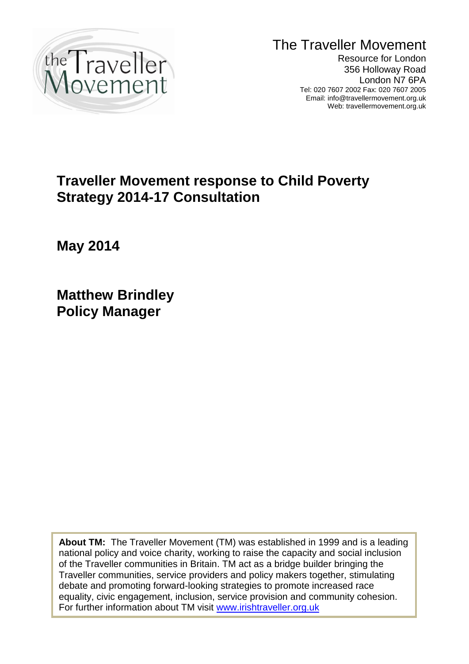

The Traveller Movement

Resource for London 356 Holloway Road London N7 6PA Tel: 020 7607 2002 Fax: 020 7607 2005 Email: info@travellermovement.org.uk Web: travellermovement.org.uk

# **Traveller Movement response to Child Poverty Strategy 2014-17 Consultation**

**May 2014**

**Matthew Brindley Policy Manager**

1 **About TM:** The Traveller Movement (TM) was established in 1999 and is a leading national policy and voice charity, working to raise the capacity and social inclusion of the Traveller communities in Britain. TM act as a bridge builder bringing the Traveller communities, service providers and policy makers together, stimulating debate and promoting forward-looking strategies to promote increased race equality, civic engagement, inclusion, service provision and community cohesion. For further information about TM visit [www.irishtraveller.org.uk](http://www.irishtraveller.org.uk/)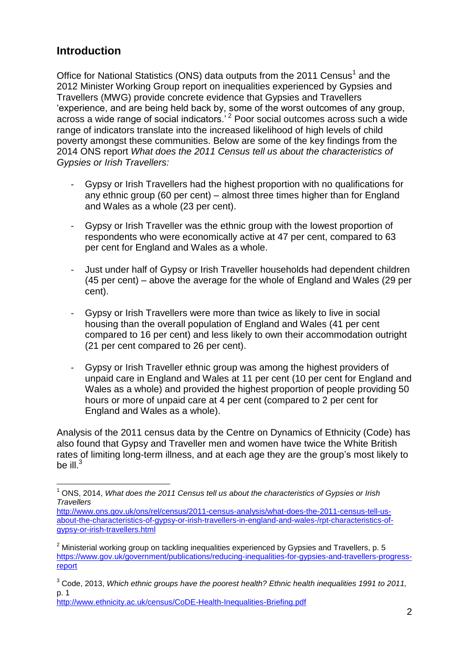## **Introduction**

Office for National Statistics (ONS) data outputs from the 2011 Census<sup>1</sup> and the 2012 Minister Working Group report on inequalities experienced by Gypsies and Travellers (MWG) provide concrete evidence that Gypsies and Travellers 'experience, and are being held back by, some of the worst outcomes of any group, across a wide range of social indicators.' <sup>2</sup> Poor social outcomes across such a wide range of indicators translate into the increased likelihood of high levels of child poverty amongst these communities. Below are some of the key findings from the 2014 ONS report *What does the 2011 Census tell us about the characteristics of Gypsies or Irish Travellers:*

- Gypsy or Irish Travellers had the highest proportion with no qualifications for any ethnic group (60 per cent) – almost three times higher than for England and Wales as a whole (23 per cent).
- Gypsy or Irish Traveller was the ethnic group with the lowest proportion of respondents who were economically active at 47 per cent, compared to 63 per cent for England and Wales as a whole.
- Just under half of Gypsy or Irish Traveller households had dependent children (45 per cent) – above the average for the whole of England and Wales (29 per cent).
- Gypsy or Irish Travellers were more than twice as likely to live in social housing than the overall population of England and Wales (41 per cent compared to 16 per cent) and less likely to own their accommodation outright (21 per cent compared to 26 per cent).
- Gypsy or Irish Traveller ethnic group was among the highest providers of unpaid care in England and Wales at 11 per cent (10 per cent for England and Wales as a whole) and provided the highest proportion of people providing 50 hours or more of unpaid care at 4 per cent (compared to 2 per cent for England and Wales as a whole).

Analysis of the 2011 census data by the Centre on Dynamics of Ethnicity (Code) has also found that Gypsy and Traveller men and women have twice the White British rates of limiting long-term illness, and at each age they are the group's most likely to be ill. $3$ 

<http://www.ethnicity.ac.uk/census/CoDE-Health-Inequalities-Briefing.pdf>

 $\overline{a}$ <sup>1</sup> ONS, 2014, *What does the 2011 Census tell us about the characteristics of Gypsies or Irish Travellers*

[http://www.ons.gov.uk/ons/rel/census/2011-census-analysis/what-does-the-2011-census-tell-us](http://www.ons.gov.uk/ons/rel/census/2011-census-analysis/what-does-the-2011-census-tell-us-about-the-characteristics-of-gypsy-or-irish-travellers-in-england-and-wales-/rpt-characteristics-of-gypsy-or-irish-travellers.html)[about-the-characteristics-of-gypsy-or-irish-travellers-in-england-and-wales-/rpt-characteristics-of](http://www.ons.gov.uk/ons/rel/census/2011-census-analysis/what-does-the-2011-census-tell-us-about-the-characteristics-of-gypsy-or-irish-travellers-in-england-and-wales-/rpt-characteristics-of-gypsy-or-irish-travellers.html)[gypsy-or-irish-travellers.html](http://www.ons.gov.uk/ons/rel/census/2011-census-analysis/what-does-the-2011-census-tell-us-about-the-characteristics-of-gypsy-or-irish-travellers-in-england-and-wales-/rpt-characteristics-of-gypsy-or-irish-travellers.html)

 $2$  Ministerial working group on tackling inequalities experienced by Gypsies and Travellers, p. 5 [https://www.gov.uk/government/publications/reducing-inequalities-for-gypsies-and-travellers-progress](https://www.gov.uk/government/publications/reducing-inequalities-for-gypsies-and-travellers-progress-report)[report](https://www.gov.uk/government/publications/reducing-inequalities-for-gypsies-and-travellers-progress-report)

<sup>3</sup> Code, 2013, *Which ethnic groups have the poorest health? Ethnic health inequalities 1991 to 2011,*  p. 1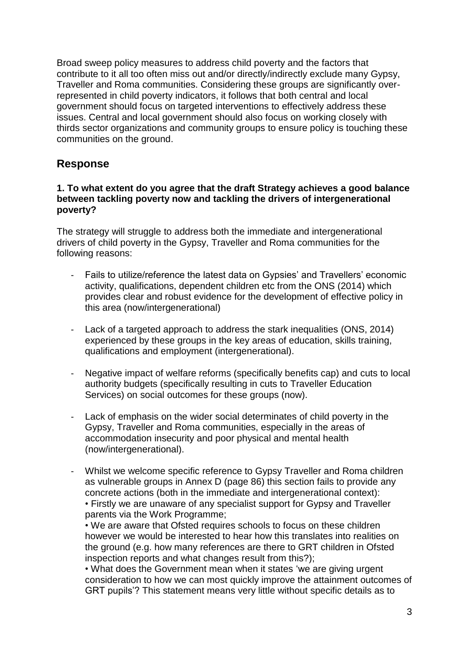Broad sweep policy measures to address child poverty and the factors that contribute to it all too often miss out and/or directly/indirectly exclude many Gypsy, Traveller and Roma communities. Considering these groups are significantly overrepresented in child poverty indicators, it follows that both central and local government should focus on targeted interventions to effectively address these issues. Central and local government should also focus on working closely with thirds sector organizations and community groups to ensure policy is touching these communities on the ground.

### **Response**

#### **1. To what extent do you agree that the draft Strategy achieves a good balance between tackling poverty now and tackling the drivers of intergenerational poverty?**

The strategy will struggle to address both the immediate and intergenerational drivers of child poverty in the Gypsy, Traveller and Roma communities for the following reasons:

- Fails to utilize/reference the latest data on Gypsies' and Travellers' economic activity, qualifications, dependent children etc from the ONS (2014) which provides clear and robust evidence for the development of effective policy in this area (now/intergenerational)
- Lack of a targeted approach to address the stark inequalities (ONS, 2014) experienced by these groups in the key areas of education, skills training, qualifications and employment (intergenerational).
- Negative impact of welfare reforms (specifically benefits cap) and cuts to local authority budgets (specifically resulting in cuts to Traveller Education Services) on social outcomes for these groups (now).
- Lack of emphasis on the wider social determinates of child poverty in the Gypsy, Traveller and Roma communities, especially in the areas of accommodation insecurity and poor physical and mental health (now/intergenerational).
- Whilst we welcome specific reference to Gypsy Traveller and Roma children as vulnerable groups in Annex D (page 86) this section fails to provide any concrete actions (both in the immediate and intergenerational context): • Firstly we are unaware of any specialist support for Gypsy and Traveller parents via the Work Programme;

• We are aware that Ofsted requires schools to focus on these children however we would be interested to hear how this translates into realities on the ground (e.g. how many references are there to GRT children in Ofsted inspection reports and what changes result from this?);

• What does the Government mean when it states 'we are giving urgent consideration to how we can most quickly improve the attainment outcomes of GRT pupils'? This statement means very little without specific details as to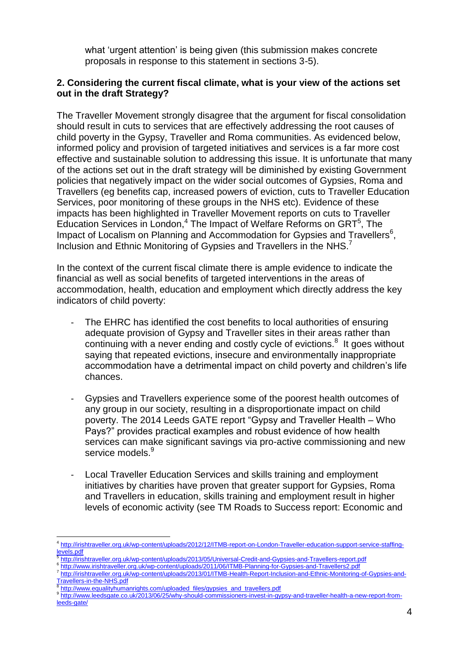what 'urgent attention' is being given (this submission makes concrete proposals in response to this statement in sections 3-5).

#### **2. Considering the current fiscal climate, what is your view of the actions set out in the draft Strategy?**

The Traveller Movement strongly disagree that the argument for fiscal consolidation should result in cuts to services that are effectively addressing the root causes of child poverty in the Gypsy, Traveller and Roma communities. As evidenced below, informed policy and provision of targeted initiatives and services is a far more cost effective and sustainable solution to addressing this issue. It is unfortunate that many of the actions set out in the draft strategy will be diminished by existing Government policies that negatively impact on the wider social outcomes of Gypsies, Roma and Travellers (eg benefits cap, increased powers of eviction, cuts to Traveller Education Services, poor monitoring of these groups in the NHS etc). Evidence of these impacts has been highlighted in Traveller Movement reports on cuts to Traveller Education Services in London,<sup>4</sup> The Impact of Welfare Reforms on GRT<sup>5</sup>, The Impact of Localism on Planning and Accommodation for Gypsies and Travellers<sup>6</sup>, Inclusion and Ethnic Monitoring of Gypsies and Travellers in the NHS.<sup>7</sup>

In the context of the current fiscal climate there is ample evidence to indicate the financial as well as social benefits of targeted interventions in the areas of accommodation, health, education and employment which directly address the key indicators of child poverty:

- The EHRC has identified the cost benefits to local authorities of ensuring adequate provision of Gypsy and Traveller sites in their areas rather than continuing with a never ending and costly cycle of evictions.<sup>8</sup> It goes without saying that repeated evictions, insecure and environmentally inappropriate accommodation have a detrimental impact on child poverty and children's life chances.
- Gypsies and Travellers experience some of the poorest health outcomes of any group in our society, resulting in a disproportionate impact on child poverty. The 2014 Leeds GATE report "Gypsy and Traveller Health – Who Pays?" provides practical examples and robust evidence of how health services can make significant savings via pro-active commissioning and new service models.<sup>9</sup>
- Local Traveller Education Services and skills training and employment initiatives by charities have proven that greater support for Gypsies, Roma and Travellers in education, skills training and employment result in higher levels of economic activity (see TM Roads to Success report: Economic and

1

<sup>4</sup> [http://irishtraveller.org.uk/wp-content/uploads/2012/12/ITMB-report-on-London-Traveller-education-support-service-staffing](http://irishtraveller.org.uk/wp-content/uploads/2012/12/ITMB-report-on-London-Traveller-education-support-service-staffing-levels.pdf)[levels.pdf](http://irishtraveller.org.uk/wp-content/uploads/2012/12/ITMB-report-on-London-Traveller-education-support-service-staffing-levels.pdf)

<sup>5</sup> <http://irishtraveller.org.uk/wp-content/uploads/2013/05/Universal-Credit-and-Gypsies-and-Travellers-report.pdf>

<sup>6</sup> <http://www.irishtraveller.org.uk/wp-content/uploads/2011/06/ITMB-Planning-for-Gypsies-and-Travellers2.pdf>

<sup>7</sup> [http://irishtraveller.org.uk/wp-content/uploads/2013/01/ITMB-Health-Report-Inclusion-and-Ethnic-Monitoring-of-Gypsies-and-](http://irishtraveller.org.uk/wp-content/uploads/2013/01/ITMB-Health-Report-Inclusion-and-Ethnic-Monitoring-of-Gypsies-and-Travellers-in-the-NHS.pdf)[Travellers-in-the-NHS.pdf](http://irishtraveller.org.uk/wp-content/uploads/2013/01/ITMB-Health-Report-Inclusion-and-Ethnic-Monitoring-of-Gypsies-and-Travellers-in-the-NHS.pdf)

<sup>8</sup> [http://www.equalityhumanrights.com/uploaded\\_files/gypsies\\_and\\_travellers.pdf](http://www.equalityhumanrights.com/uploaded_files/gypsies_and_travellers.pdf)

<sup>9</sup> [http://www.leedsgate.co.uk/2013/06/25/why-should-commissioners-invest-in-gypsy-and-traveller-health-a-new-report-from](http://www.leedsgate.co.uk/2013/06/25/why-should-commissioners-invest-in-gypsy-and-traveller-health-a-new-report-from-leeds-gate/)[leeds-gate/](http://www.leedsgate.co.uk/2013/06/25/why-should-commissioners-invest-in-gypsy-and-traveller-health-a-new-report-from-leeds-gate/)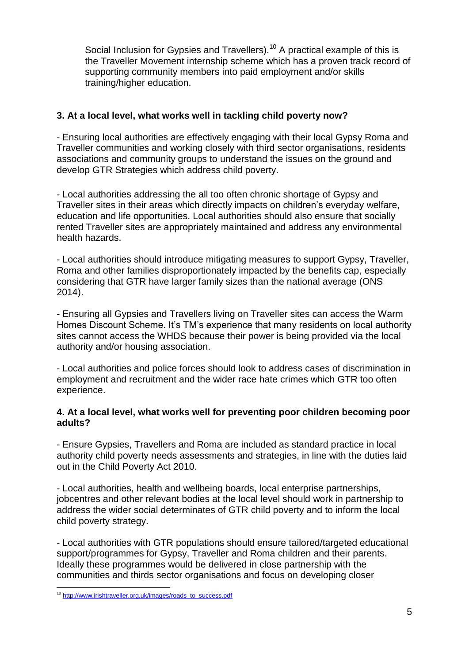Social Inclusion for Gypsies and Travellers).<sup>10</sup> A practical example of this is the Traveller Movement internship scheme which has a proven track record of supporting community members into paid employment and/or skills training/higher education.

#### **3. At a local level, what works well in tackling child poverty now?**

- Ensuring local authorities are effectively engaging with their local Gypsy Roma and Traveller communities and working closely with third sector organisations, residents associations and community groups to understand the issues on the ground and develop GTR Strategies which address child poverty.

- Local authorities addressing the all too often chronic shortage of Gypsy and Traveller sites in their areas which directly impacts on children's everyday welfare, education and life opportunities. Local authorities should also ensure that socially rented Traveller sites are appropriately maintained and address any environmental health hazards.

- Local authorities should introduce mitigating measures to support Gypsy, Traveller, Roma and other families disproportionately impacted by the benefits cap, especially considering that GTR have larger family sizes than the national average (ONS 2014).

- Ensuring all Gypsies and Travellers living on Traveller sites can access the Warm Homes Discount Scheme. It's TM's experience that many residents on local authority sites cannot access the WHDS because their power is being provided via the local authority and/or housing association.

- Local authorities and police forces should look to address cases of discrimination in employment and recruitment and the wider race hate crimes which GTR too often experience.

#### **4. At a local level, what works well for preventing poor children becoming poor adults?**

- Ensure Gypsies, Travellers and Roma are included as standard practice in local authority child poverty needs assessments and strategies, in line with the duties laid out in the Child Poverty Act 2010.

- Local authorities, health and wellbeing boards, local enterprise partnerships, jobcentres and other relevant bodies at the local level should work in partnership to address the wider social determinates of GTR child poverty and to inform the local child poverty strategy.

- Local authorities with GTR populations should ensure tailored/targeted educational support/programmes for Gypsy, Traveller and Roma children and their parents. Ideally these programmes would be delivered in close partnership with the communities and thirds sector organisations and focus on developing closer

<sup>&</sup>lt;u>.</u> <sup>10</sup> [http://www.irishtraveller.org.uk/images/roads\\_to\\_success.pdf](http://www.irishtraveller.org.uk/images/roads_to_success.pdf)